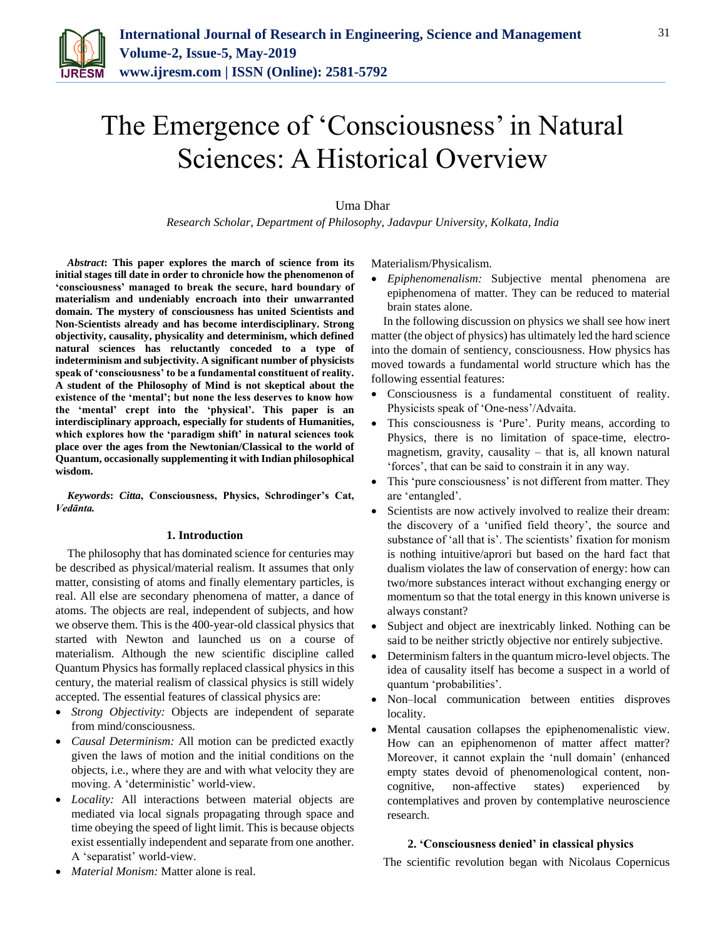

# The Emergence of 'Consciousness' in Natural Sciences: A Historical Overview

## Uma Dhar

*Research Scholar, Department of Philosophy, Jadavpur University, Kolkata, India*

*Abstract***: This paper explores the march of science from its initial stages till date in order to chronicle how the phenomenon of 'consciousness' managed to break the secure, hard boundary of materialism and undeniably encroach into their unwarranted domain. The mystery of consciousness has united Scientists and Non-Scientists already and has become interdisciplinary. Strong objectivity, causality, physicality and determinism, which defined natural sciences has reluctantly conceded to a type of indeterminism and subjectivity. A significant number of physicists speak of 'consciousness' to be a fundamental constituent of reality. A student of the Philosophy of Mind is not skeptical about the existence of the 'mental'; but none the less deserves to know how the 'mental' crept into the 'physical'. This paper is an interdisciplinary approach, especially for students of Humanities, which explores how the 'paradigm shift' in natural sciences took place over the ages from the Newtonian/Classical to the world of Quantum, occasionally supplementing it with Indian philosophical wisdom.**

*Keywords***:** *Citta***, Consciousness, Physics, Schrodinger's Cat,**  *Vedānta.*

## **1. Introduction**

The philosophy that has dominated science for centuries may be described as physical/material realism. It assumes that only matter, consisting of atoms and finally elementary particles, is real. All else are secondary phenomena of matter, a dance of atoms. The objects are real, independent of subjects, and how we observe them. This is the 400-year-old classical physics that started with Newton and launched us on a course of materialism. Although the new scientific discipline called Quantum Physics has formally replaced classical physics in this century, the material realism of classical physics is still widely accepted. The essential features of classical physics are:

- *Strong Objectivity:* Objects are independent of separate from mind/consciousness.
- *Causal Determinism:* All motion can be predicted exactly given the laws of motion and the initial conditions on the objects, i.e., where they are and with what velocity they are moving. A 'deterministic' world-view.
- *Locality:* All interactions between material objects are mediated via local signals propagating through space and time obeying the speed of light limit. This is because objects exist essentially independent and separate from one another. A 'separatist' world-view.

Materialism/Physicalism.

 *Epiphenomenalism:* Subjective mental phenomena are epiphenomena of matter. They can be reduced to material brain states alone.

In the following discussion on physics we shall see how inert matter (the object of physics) has ultimately led the hard science into the domain of sentiency, consciousness. How physics has moved towards a fundamental world structure which has the following essential features:

- Consciousness is a fundamental constituent of reality. Physicists speak of 'One-ness'/Advaita.
- This consciousness is 'Pure'. Purity means, according to Physics, there is no limitation of space-time, electromagnetism, gravity, causality  $-$  that is, all known natural 'forces', that can be said to constrain it in any way.
- This 'pure consciousness' is not different from matter. They are 'entangled'.
- Scientists are now actively involved to realize their dream: the discovery of a 'unified field theory', the source and substance of 'all that is'. The scientists' fixation for monism is nothing intuitive/aprori but based on the hard fact that dualism violates the law of conservation of energy: how can two/more substances interact without exchanging energy or momentum so that the total energy in this known universe is always constant?
- Subject and object are inextricably linked. Nothing can be said to be neither strictly objective nor entirely subjective.
- Determinism falters in the quantum micro-level objects. The idea of causality itself has become a suspect in a world of quantum 'probabilities'.
- Non–local communication between entities disproves locality.
- Mental causation collapses the epiphenomenalistic view. How can an epiphenomenon of matter affect matter? Moreover, it cannot explain the 'null domain' (enhanced empty states devoid of phenomenological content, noncognitive, non-affective states) experienced by contemplatives and proven by contemplative neuroscience research.

#### **2. 'Consciousness denied' in classical physics**

The scientific revolution began with Nicolaus Copernicus

31

*Material Monism:* Matter alone is real.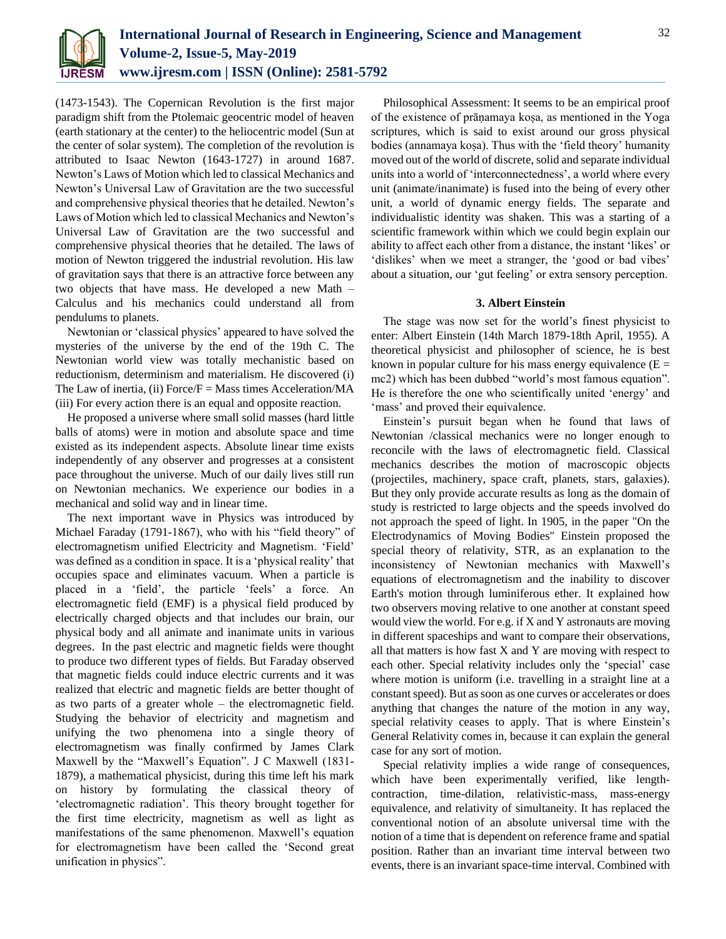

(1473-1543). The Copernican Revolution is the first major paradigm shift from the Ptolemaic geocentric model of heaven (earth stationary at the center) to the heliocentric model (Sun at the center of solar system). The completion of the revolution is attributed to Isaac Newton (1643-1727) in around 1687. Newton's Laws of Motion which led to classical Mechanics and Newton's Universal Law of Gravitation are the two successful and comprehensive physical theories that he detailed. Newton's Laws of Motion which led to classical Mechanics and Newton's Universal Law of Gravitation are the two successful and comprehensive physical theories that he detailed. The laws of motion of Newton triggered the industrial revolution. His law of gravitation says that there is an attractive force between any two objects that have mass. He developed a new Math – Calculus and his mechanics could understand all from pendulums to planets.

Newtonian or 'classical physics' appeared to have solved the mysteries of the universe by the end of the 19th C. The Newtonian world view was totally mechanistic based on reductionism, determinism and materialism. He discovered (i) The Law of inertia, (ii)  $Force/F = Mass$  times Acceleration/MA (iii) For every action there is an equal and opposite reaction.

He proposed a universe where small solid masses (hard little balls of atoms) were in motion and absolute space and time existed as its independent aspects. Absolute linear time exists independently of any observer and progresses at a consistent pace throughout the universe. Much of our daily lives still run on Newtonian mechanics. We experience our bodies in a mechanical and solid way and in linear time.

The next important wave in Physics was introduced by Michael Faraday (1791-1867), who with his "field theory" of electromagnetism unified Electricity and Magnetism. 'Field' was defined as a condition in space. It is a 'physical reality' that occupies space and eliminates vacuum. When a particle is placed in a 'field', the particle 'feels' a force. An electromagnetic field (EMF) is a physical field produced by electrically charged objects and that includes our brain, our physical body and all animate and inanimate units in various degrees. In the past electric and magnetic fields were thought to produce two different types of fields. But Faraday observed that magnetic fields could induce electric currents and it was realized that electric and magnetic fields are better thought of as two parts of a greater whole – the electromagnetic field. Studying the behavior of electricity and magnetism and unifying the two phenomena into a single theory of electromagnetism was finally confirmed by James Clark Maxwell by the "Maxwell's Equation". J C Maxwell (1831- 1879), a mathematical physicist, during this time left his mark on history by formulating the classical theory of 'electromagnetic radiation'. This theory brought together for the first time electricity, magnetism as well as light as manifestations of the same phenomenon. Maxwell's equation for electromagnetism have been called the 'Second great unification in physics".

Philosophical Assessment: It seems to be an empirical proof of the existence of prāṇamaya koṣa, as mentioned in the Yoga scriptures, which is said to exist around our gross physical bodies (annamaya koṣa). Thus with the 'field theory' humanity moved out of the world of discrete, solid and separate individual units into a world of 'interconnectedness', a world where every unit (animate/inanimate) is fused into the being of every other unit, a world of dynamic energy fields. The separate and individualistic identity was shaken. This was a starting of a scientific framework within which we could begin explain our ability to affect each other from a distance, the instant 'likes' or 'dislikes' when we meet a stranger, the 'good or bad vibes' about a situation, our 'gut feeling' or extra sensory perception.

## **3. Albert Einstein**

The stage was now set for the world's finest physicist to enter: Albert Einstein (14th March 1879-18th April, 1955). A theoretical physicist and philosopher of science, he is best known in popular culture for his mass energy equivalence  $(E =$ mc2) which has been dubbed "world's most famous equation". He is therefore the one who scientifically united 'energy' and 'mass' and proved their equivalence.

Einstein's pursuit began when he found that laws of Newtonian /classical mechanics were no longer enough to reconcile with the laws of electromagnetic field. Classical mechanics describes the motion of macroscopic objects (projectiles, machinery, space craft, planets, stars, galaxies). But they only provide accurate results as long as the domain of study is restricted to large objects and the speeds involved do not approach the speed of light. In 1905, in the paper "On the Electrodynamics of Moving Bodies" Einstein proposed the special theory of relativity, STR, as an explanation to the inconsistency of Newtonian mechanics with Maxwell's equations of electromagnetism and the inability to discover Earth's motion through luminiferous ether. It explained how two observers moving relative to one another at constant speed would view the world. For e.g. if X and Y astronauts are moving in different spaceships and want to compare their observations, all that matters is how fast  $X$  and  $Y$  are moving with respect to each other. Special relativity includes only the 'special' case where motion is uniform (i.e. travelling in a straight line at a constant speed). But as soon as one curves or accelerates or does anything that changes the nature of the motion in any way, special relativity ceases to apply. That is where Einstein's General Relativity comes in, because it can explain the general case for any sort of motion.

Special relativity implies a wide range of consequences, which have been experimentally verified, like lengthcontraction, time-dilation, relativistic-mass, mass-energy equivalence, and relativity of simultaneity. It has replaced the conventional notion of an absolute universal time with the notion of a time that is dependent on reference frame and spatial position. Rather than an invariant time interval between two events, there is an invariant space-time interval. Combined with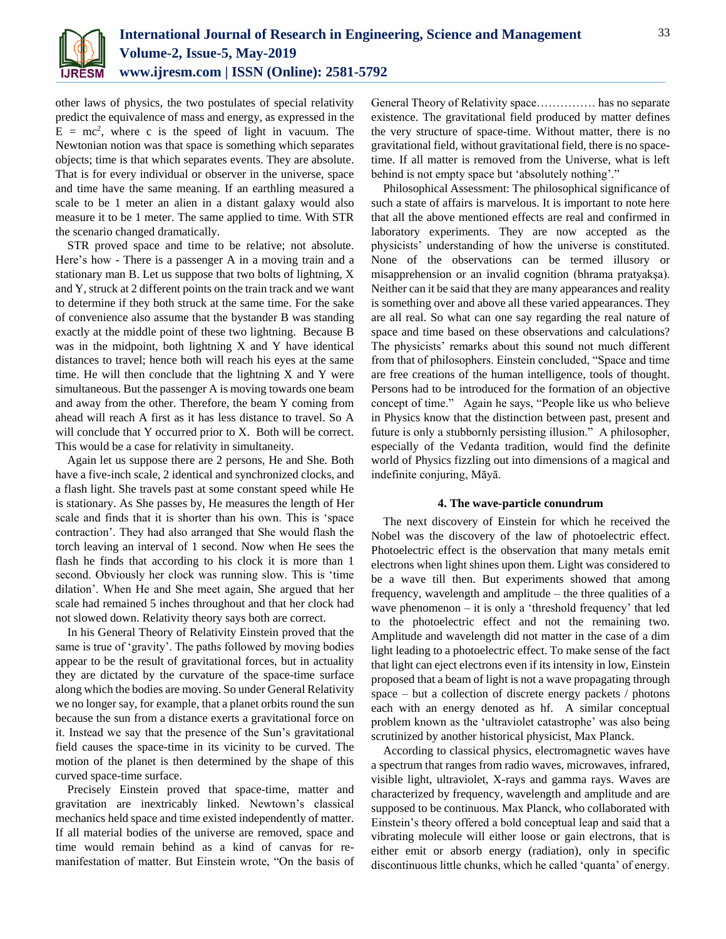

other laws of physics, the two postulates of special relativity predict the equivalence of mass and energy, as expressed in the  $E = mc^2$ , where c is the speed of light in vacuum. The Newtonian notion was that space is something which separates objects; time is that which separates events. They are absolute. That is for every individual or observer in the universe, space and time have the same meaning. If an earthling measured a scale to be 1 meter an alien in a distant galaxy would also measure it to be 1 meter. The same applied to time. With STR the scenario changed dramatically.

STR proved space and time to be relative; not absolute. Here's how - There is a passenger A in a moving train and a stationary man B. Let us suppose that two bolts of lightning, X and Y, struck at 2 different points on the train track and we want to determine if they both struck at the same time. For the sake of convenience also assume that the bystander B was standing exactly at the middle point of these two lightning. Because B was in the midpoint, both lightning X and Y have identical distances to travel; hence both will reach his eyes at the same time. He will then conclude that the lightning X and Y were simultaneous. But the passenger A is moving towards one beam and away from the other. Therefore, the beam Y coming from ahead will reach A first as it has less distance to travel. So A will conclude that Y occurred prior to X. Both will be correct. This would be a case for relativity in simultaneity.

Again let us suppose there are 2 persons, He and She. Both have a five-inch scale, 2 identical and synchronized clocks, and a flash light. She travels past at some constant speed while He is stationary. As She passes by, He measures the length of Her scale and finds that it is shorter than his own. This is 'space contraction'. They had also arranged that She would flash the torch leaving an interval of 1 second. Now when He sees the flash he finds that according to his clock it is more than 1 second. Obviously her clock was running slow. This is 'time dilation'. When He and She meet again, She argued that her scale had remained 5 inches throughout and that her clock had not slowed down. Relativity theory says both are correct.

In his General Theory of Relativity Einstein proved that the same is true of 'gravity'. The paths followed by moving bodies appear to be the result of gravitational forces, but in actuality they are dictated by the curvature of the space-time surface along which the bodies are moving. So under General Relativity we no longer say, for example, that a planet orbits round the sun because the sun from a distance exerts a gravitational force on it. Instead we say that the presence of the Sun's gravitational field causes the space-time in its vicinity to be curved. The motion of the planet is then determined by the shape of this curved space-time surface.

Precisely Einstein proved that space-time, matter and gravitation are inextricably linked. Newtown's classical mechanics held space and time existed independently of matter. If all material bodies of the universe are removed, space and time would remain behind as a kind of canvas for remanifestation of matter. But Einstein wrote, "On the basis of General Theory of Relativity space…………… has no separate existence. The gravitational field produced by matter defines the very structure of space-time. Without matter, there is no gravitational field, without gravitational field, there is no spacetime. If all matter is removed from the Universe, what is left behind is not empty space but 'absolutely nothing'."

Philosophical Assessment: The philosophical significance of such a state of affairs is marvelous. It is important to note here that all the above mentioned effects are real and confirmed in laboratory experiments. They are now accepted as the physicists' understanding of how the universe is constituted. None of the observations can be termed illusory or misapprehension or an invalid cognition (bhrama pratyakşa). Neither can it be said that they are many appearances and reality is something over and above all these varied appearances. They are all real. So what can one say regarding the real nature of space and time based on these observations and calculations? The physicists' remarks about this sound not much different from that of philosophers. Einstein concluded, "Space and time are free creations of the human intelligence, tools of thought. Persons had to be introduced for the formation of an objective concept of time." Again he says, "People like us who believe in Physics know that the distinction between past, present and future is only a stubbornly persisting illusion." A philosopher, especially of the Vedanta tradition, would find the definite world of Physics fizzling out into dimensions of a magical and indefinite conjuring, Māyā.

#### **4. The wave-particle conundrum**

The next discovery of Einstein for which he received the Nobel was the discovery of the law of photoelectric effect. Photoelectric effect is the observation that many metals emit electrons when light shines upon them. Light was considered to be a wave till then. But experiments showed that among frequency, wavelength and amplitude – the three qualities of a wave phenomenon – it is only a 'threshold frequency' that led to the photoelectric effect and not the remaining two. Amplitude and wavelength did not matter in the case of a dim light leading to a photoelectric effect. To make sense of the fact that light can eject electrons even if its intensity in low, Einstein proposed that a beam of light is not a wave propagating through space – but a collection of discrete energy packets / photons each with an energy denoted as hf. A similar conceptual problem known as the 'ultraviolet catastrophe' was also being scrutinized by another historical physicist, Max Planck.

According to classical physics, electromagnetic waves have a spectrum that ranges from radio waves, microwaves, infrared, visible light, ultraviolet, X-rays and gamma rays. Waves are characterized by frequency, wavelength and amplitude and are supposed to be continuous. Max Planck, who collaborated with Einstein's theory offered a bold conceptual leap and said that a vibrating molecule will either loose or gain electrons, that is either emit or absorb energy (radiation), only in specific discontinuous little chunks, which he called 'quanta' of energy.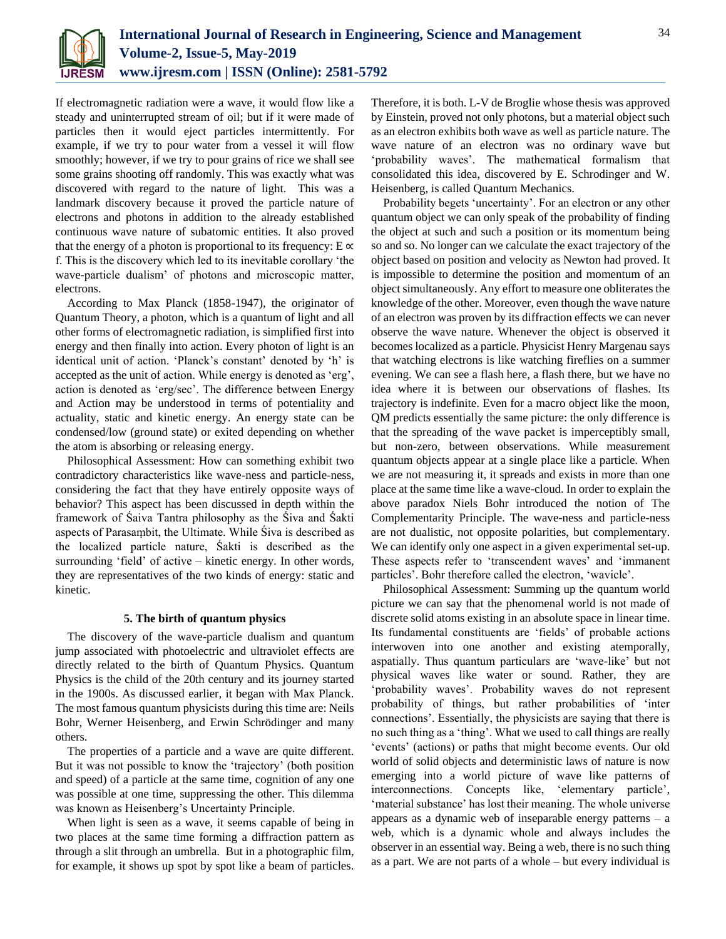

If electromagnetic radiation were a wave, it would flow like a steady and uninterrupted stream of oil; but if it were made of particles then it would eject particles intermittently. For example, if we try to pour water from a vessel it will flow smoothly; however, if we try to pour grains of rice we shall see some grains shooting off randomly. This was exactly what was discovered with regard to the nature of light. This was a landmark discovery because it proved the particle nature of electrons and photons in addition to the already established continuous wave nature of subatomic entities. It also proved that the energy of a photon is proportional to its frequency:  $E \propto$ f. This is the discovery which led to its inevitable corollary 'the wave-particle dualism' of photons and microscopic matter, electrons.

According to Max Planck (1858-1947), the originator of Quantum Theory, a photon, which is a quantum of light and all other forms of electromagnetic radiation, is simplified first into energy and then finally into action. Every photon of light is an identical unit of action. 'Planck's constant' denoted by 'h' is accepted as the unit of action. While energy is denoted as 'erg', action is denoted as 'erg/sec'. The difference between Energy and Action may be understood in terms of potentiality and actuality, static and kinetic energy. An energy state can be condensed/low (ground state) or exited depending on whether the atom is absorbing or releasing energy.

Philosophical Assessment: How can something exhibit two contradictory characteristics like wave-ness and particle-ness, considering the fact that they have entirely opposite ways of behavior? This aspect has been discussed in depth within the framework of Śaiva Tantra philosophy as the Śiva and Śakti aspects of Parasaṃbit, the Ultimate. While Śiva is described as the localized particle nature, Śakti is described as the surrounding 'field' of active – kinetic energy. In other words, they are representatives of the two kinds of energy: static and kinetic.

## **5. The birth of quantum physics**

The discovery of the wave-particle dualism and quantum jump associated with photoelectric and ultraviolet effects are directly related to the birth of Quantum Physics. Quantum Physics is the child of the 20th century and its journey started in the 1900s. As discussed earlier, it began with Max Planck. The most famous quantum physicists during this time are: Neils Bohr, Werner Heisenberg, and Erwin Schrödinger and many others.

The properties of a particle and a wave are quite different. But it was not possible to know the 'trajectory' (both position and speed) of a particle at the same time, cognition of any one was possible at one time, suppressing the other. This dilemma was known as Heisenberg's Uncertainty Principle.

When light is seen as a wave, it seems capable of being in two places at the same time forming a diffraction pattern as through a slit through an umbrella. But in a photographic film, for example, it shows up spot by spot like a beam of particles.

Therefore, it is both. L-V de Broglie whose thesis was approved by Einstein, proved not only photons, but a material object such as an electron exhibits both wave as well as particle nature. The wave nature of an electron was no ordinary wave but 'probability waves'. The mathematical formalism that consolidated this idea, discovered by E. Schrodinger and W. Heisenberg, is called Quantum Mechanics.

Probability begets 'uncertainty'. For an electron or any other quantum object we can only speak of the probability of finding the object at such and such a position or its momentum being so and so. No longer can we calculate the exact trajectory of the object based on position and velocity as Newton had proved. It is impossible to determine the position and momentum of an object simultaneously. Any effort to measure one obliterates the knowledge of the other. Moreover, even though the wave nature of an electron was proven by its diffraction effects we can never observe the wave nature. Whenever the object is observed it becomes localized as a particle. Physicist Henry Margenau says that watching electrons is like watching fireflies on a summer evening. We can see a flash here, a flash there, but we have no idea where it is between our observations of flashes. Its trajectory is indefinite. Even for a macro object like the moon, QM predicts essentially the same picture: the only difference is that the spreading of the wave packet is imperceptibly small, but non-zero, between observations. While measurement quantum objects appear at a single place like a particle. When we are not measuring it, it spreads and exists in more than one place at the same time like a wave-cloud. In order to explain the above paradox Niels Bohr introduced the notion of The Complementarity Principle. The wave-ness and particle-ness are not dualistic, not opposite polarities, but complementary. We can identify only one aspect in a given experimental set-up. These aspects refer to 'transcendent waves' and 'immanent particles'. Bohr therefore called the electron, 'wavicle'.

Philosophical Assessment: Summing up the quantum world picture we can say that the phenomenal world is not made of discrete solid atoms existing in an absolute space in linear time. Its fundamental constituents are 'fields' of probable actions interwoven into one another and existing atemporally, aspatially. Thus quantum particulars are 'wave-like' but not physical waves like water or sound. Rather, they are 'probability waves'. Probability waves do not represent probability of things, but rather probabilities of 'inter connections'. Essentially, the physicists are saying that there is no such thing as a 'thing'. What we used to call things are really 'events' (actions) or paths that might become events. Our old world of solid objects and deterministic laws of nature is now emerging into a world picture of wave like patterns of interconnections. Concepts like, 'elementary particle', 'material substance' has lost their meaning. The whole universe appears as a dynamic web of inseparable energy patterns  $-$  a web, which is a dynamic whole and always includes the observer in an essential way. Being a web, there is no such thing as a part. We are not parts of a whole – but every individual is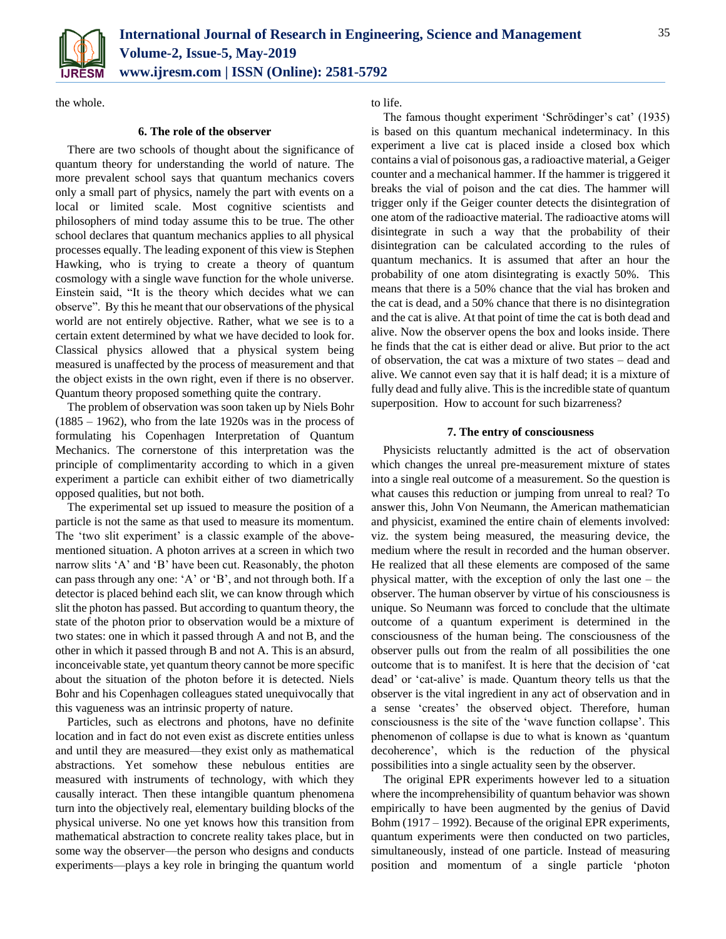

the whole.

## **6. The role of the observer**

There are two schools of thought about the significance of quantum theory for understanding the world of nature. The more prevalent school says that quantum mechanics covers only a small part of physics, namely the part with events on a local or limited scale. Most cognitive scientists and philosophers of mind today assume this to be true. The other school declares that quantum mechanics applies to all physical processes equally. The leading exponent of this view is Stephen Hawking, who is trying to create a theory of quantum cosmology with a single wave function for the whole universe. Einstein said, "It is the theory which decides what we can observe". By this he meant that our observations of the physical world are not entirely objective. Rather, what we see is to a certain extent determined by what we have decided to look for. Classical physics allowed that a physical system being measured is unaffected by the process of measurement and that the object exists in the own right, even if there is no observer. Quantum theory proposed something quite the contrary.

The problem of observation was soon taken up by Niels Bohr (1885 – 1962), who from the late 1920s was in the process of formulating his Copenhagen Interpretation of Quantum Mechanics. The cornerstone of this interpretation was the principle of complimentarity according to which in a given experiment a particle can exhibit either of two diametrically opposed qualities, but not both.

The experimental set up issued to measure the position of a particle is not the same as that used to measure its momentum. The 'two slit experiment' is a classic example of the abovementioned situation. A photon arrives at a screen in which two narrow slits 'A' and 'B' have been cut. Reasonably, the photon can pass through any one: 'A' or 'B', and not through both. If a detector is placed behind each slit, we can know through which slit the photon has passed. But according to quantum theory, the state of the photon prior to observation would be a mixture of two states: one in which it passed through A and not B, and the other in which it passed through B and not A. This is an absurd, inconceivable state, yet quantum theory cannot be more specific about the situation of the photon before it is detected. Niels Bohr and his Copenhagen colleagues stated unequivocally that this vagueness was an intrinsic property of nature.

Particles, such as electrons and photons, have no definite location and in fact do not even exist as discrete entities unless and until they are measured—they exist only as mathematical abstractions. Yet somehow these nebulous entities are measured with instruments of technology, with which they causally interact. Then these intangible quantum phenomena turn into the objectively real, elementary building blocks of the physical universe. No one yet knows how this transition from mathematical abstraction to concrete reality takes place, but in some way the observer—the person who designs and conducts experiments—plays a key role in bringing the quantum world

to life.

The famous thought experiment 'Schrödinger's cat' (1935) is based on this quantum mechanical indeterminacy. In this experiment a live cat is placed inside a closed box which contains a vial of poisonous gas, a radioactive material, a Geiger counter and a mechanical hammer. If the hammer is triggered it breaks the vial of poison and the cat dies. The hammer will trigger only if the Geiger counter detects the disintegration of one atom of the radioactive material. The radioactive atoms will disintegrate in such a way that the probability of their disintegration can be calculated according to the rules of quantum mechanics. It is assumed that after an hour the probability of one atom disintegrating is exactly 50%. This means that there is a 50% chance that the vial has broken and the cat is dead, and a 50% chance that there is no disintegration and the cat is alive. At that point of time the cat is both dead and alive. Now the observer opens the box and looks inside. There he finds that the cat is either dead or alive. But prior to the act of observation, the cat was a mixture of two states – dead and alive. We cannot even say that it is half dead; it is a mixture of fully dead and fully alive. This is the incredible state of quantum superposition. How to account for such bizarreness?

### **7. The entry of consciousness**

Physicists reluctantly admitted is the act of observation which changes the unreal pre-measurement mixture of states into a single real outcome of a measurement. So the question is what causes this reduction or jumping from unreal to real? To answer this, John Von Neumann, the American mathematician and physicist, examined the entire chain of elements involved: viz. the system being measured, the measuring device, the medium where the result in recorded and the human observer. He realized that all these elements are composed of the same physical matter, with the exception of only the last one – the observer. The human observer by virtue of his consciousness is unique. So Neumann was forced to conclude that the ultimate outcome of a quantum experiment is determined in the consciousness of the human being. The consciousness of the observer pulls out from the realm of all possibilities the one outcome that is to manifest. It is here that the decision of 'cat dead' or 'cat-alive' is made. Quantum theory tells us that the observer is the vital ingredient in any act of observation and in a sense 'creates' the observed object. Therefore, human consciousness is the site of the 'wave function collapse'. This phenomenon of collapse is due to what is known as 'quantum decoherence', which is the reduction of the physical possibilities into a single actuality seen by the observer.

The original EPR experiments however led to a situation where the incomprehensibility of quantum behavior was shown empirically to have been augmented by the genius of David Bohm (1917 – 1992). Because of the original EPR experiments, quantum experiments were then conducted on two particles, simultaneously, instead of one particle. Instead of measuring position and momentum of a single particle 'photon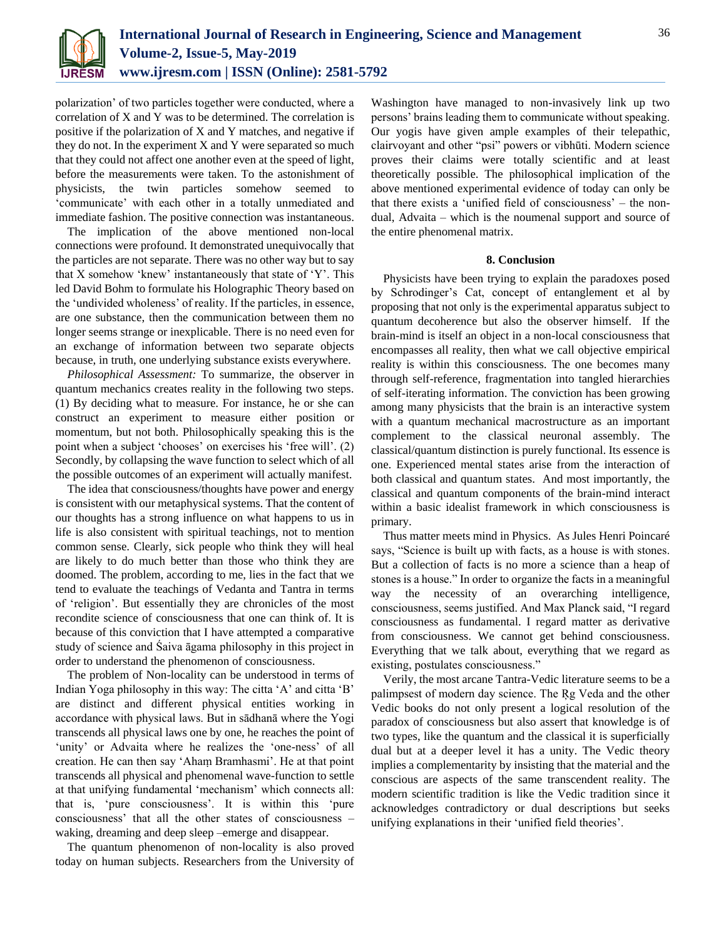

polarization' of two particles together were conducted, where a correlation of X and Y was to be determined. The correlation is positive if the polarization of X and Y matches, and negative if they do not. In the experiment X and Y were separated so much that they could not affect one another even at the speed of light, before the measurements were taken. To the astonishment of physicists, the twin particles somehow seemed to 'communicate' with each other in a totally unmediated and immediate fashion. The positive connection was instantaneous.

The implication of the above mentioned non-local connections were profound. It demonstrated unequivocally that the particles are not separate. There was no other way but to say that X somehow 'knew' instantaneously that state of 'Y'. This led David Bohm to formulate his Holographic Theory based on the 'undivided wholeness' of reality. If the particles, in essence, are one substance, then the communication between them no longer seems strange or inexplicable. There is no need even for an exchange of information between two separate objects because, in truth, one underlying substance exists everywhere.

*Philosophical Assessment:* To summarize, the observer in quantum mechanics creates reality in the following two steps. (1) By deciding what to measure. For instance, he or she can construct an experiment to measure either position or momentum, but not both. Philosophically speaking this is the point when a subject 'chooses' on exercises his 'free will'. (2) Secondly, by collapsing the wave function to select which of all the possible outcomes of an experiment will actually manifest.

The idea that consciousness/thoughts have power and energy is consistent with our metaphysical systems. That the content of our thoughts has a strong influence on what happens to us in life is also consistent with spiritual teachings, not to mention common sense. Clearly, sick people who think they will heal are likely to do much better than those who think they are doomed. The problem, according to me, lies in the fact that we tend to evaluate the teachings of Vedanta and Tantra in terms of 'religion'. But essentially they are chronicles of the most recondite science of consciousness that one can think of. It is because of this conviction that I have attempted a comparative study of science and Śaiva āgama philosophy in this project in order to understand the phenomenon of consciousness.

The problem of Non-locality can be understood in terms of Indian Yoga philosophy in this way: The citta 'A' and citta 'B' are distinct and different physical entities working in accordance with physical laws. But in sādhanā where the Yogi transcends all physical laws one by one, he reaches the point of 'unity' or Advaita where he realizes the 'one-ness' of all creation. He can then say 'Ahaṃ Bramhasmi'. He at that point transcends all physical and phenomenal wave-function to settle at that unifying fundamental 'mechanism' which connects all: that is, 'pure consciousness'. It is within this 'pure consciousness' that all the other states of consciousness – waking, dreaming and deep sleep –emerge and disappear.

The quantum phenomenon of non-locality is also proved today on human subjects. Researchers from the University of Washington have managed to non-invasively link up two persons' brains leading them to communicate without speaking. Our yogis have given ample examples of their telepathic, clairvoyant and other "psi" powers or vibhūti. Modern science proves their claims were totally scientific and at least theoretically possible. The philosophical implication of the above mentioned experimental evidence of today can only be that there exists a 'unified field of consciousness' – the nondual, Advaita – which is the noumenal support and source of the entire phenomenal matrix.

### **8. Conclusion**

Physicists have been trying to explain the paradoxes posed by Schrodinger's Cat, concept of entanglement et al by proposing that not only is the experimental apparatus subject to quantum decoherence but also the observer himself. If the brain-mind is itself an object in a non-local consciousness that encompasses all reality, then what we call objective empirical reality is within this consciousness. The one becomes many through self-reference, fragmentation into tangled hierarchies of self-iterating information. The conviction has been growing among many physicists that the brain is an interactive system with a quantum mechanical macrostructure as an important complement to the classical neuronal assembly. The classical/quantum distinction is purely functional. Its essence is one. Experienced mental states arise from the interaction of both classical and quantum states. And most importantly, the classical and quantum components of the brain-mind interact within a basic idealist framework in which consciousness is primary.

Thus matter meets mind in Physics. As Jules Henri Poincaré says, "Science is built up with facts, as a house is with stones. But a collection of facts is no more a science than a heap of stones is a house." In order to organize the facts in a meaningful way the necessity of an overarching intelligence, consciousness, seems justified. And Max Planck said, "I regard consciousness as fundamental. I regard matter as derivative from consciousness. We cannot get behind consciousness. Everything that we talk about, everything that we regard as existing, postulates consciousness."

Verily, the most arcane Tantra-Vedic literature seems to be a palimpsest of modern day science. The Ŗg Veda and the other Vedic books do not only present a logical resolution of the paradox of consciousness but also assert that knowledge is of two types, like the quantum and the classical it is superficially dual but at a deeper level it has a unity. The Vedic theory implies a complementarity by insisting that the material and the conscious are aspects of the same transcendent reality. The modern scientific tradition is like the Vedic tradition since it acknowledges contradictory or dual descriptions but seeks unifying explanations in their 'unified field theories'.